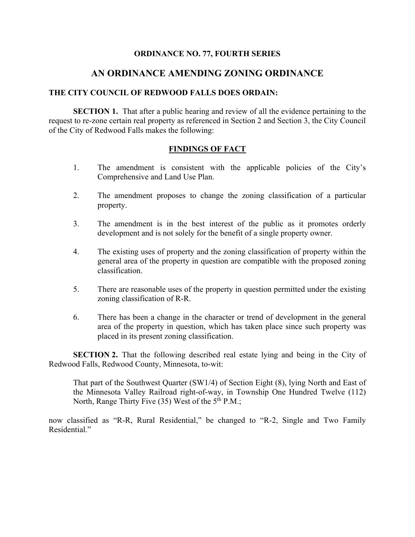## **ORDINANCE NO. 77, FOURTH SERIES**

## **AN ORDINANCE AMENDING ZONING ORDINANCE**

## **THE CITY COUNCIL OF REDWOOD FALLS DOES ORDAIN:**

**SECTION 1.** That after a public hearing and review of all the evidence pertaining to the request to re-zone certain real property as referenced in Section 2 and Section 3, the City Council of the City of Redwood Falls makes the following:

## **FINDINGS OF FACT**

- 1. The amendment is consistent with the applicable policies of the City's Comprehensive and Land Use Plan.
- 2. The amendment proposes to change the zoning classification of a particular property.
- 3. The amendment is in the best interest of the public as it promotes orderly development and is not solely for the benefit of a single property owner.
- 4. The existing uses of property and the zoning classification of property within the general area of the property in question are compatible with the proposed zoning classification.
- 5. There are reasonable uses of the property in question permitted under the existing zoning classification of R-R.
- 6. There has been a change in the character or trend of development in the general area of the property in question, which has taken place since such property was placed in its present zoning classification.

**SECTION 2.** That the following described real estate lying and being in the City of Redwood Falls, Redwood County, Minnesota, to-wit:

That part of the Southwest Quarter (SW1/4) of Section Eight (8), lying North and East of the Minnesota Valley Railroad right-of-way, in Township One Hundred Twelve (112) North, Range Thirty Five (35) West of the 5<sup>th</sup> P.M.;

now classified as "R-R, Rural Residential," be changed to "R-2, Single and Two Family Residential."